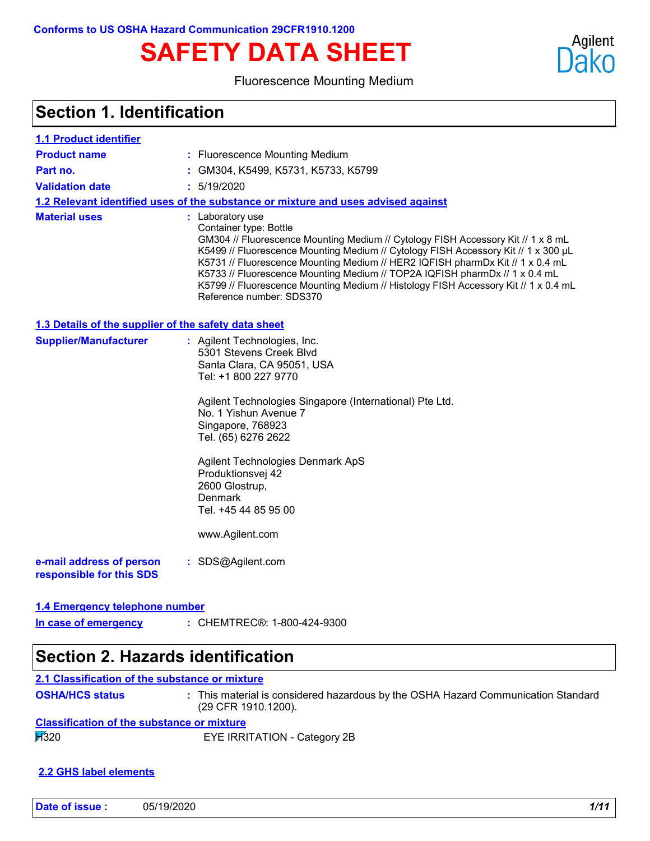# **SAFETY DATA SHEET**

### Fluorescence Mounting Medium

### **Section 1. Identification**

| <b>1.1 Product identifier</b>                        |                                                                                                                                                                                                                                                                                                                                                                                                                                                                                                          |
|------------------------------------------------------|----------------------------------------------------------------------------------------------------------------------------------------------------------------------------------------------------------------------------------------------------------------------------------------------------------------------------------------------------------------------------------------------------------------------------------------------------------------------------------------------------------|
| <b>Product name</b>                                  | : Fluorescence Mounting Medium                                                                                                                                                                                                                                                                                                                                                                                                                                                                           |
| Part no.                                             | GM304, K5499, K5731, K5733, K5799                                                                                                                                                                                                                                                                                                                                                                                                                                                                        |
| <b>Validation date</b>                               | : 5/19/2020                                                                                                                                                                                                                                                                                                                                                                                                                                                                                              |
|                                                      | 1.2 Relevant identified uses of the substance or mixture and uses advised against                                                                                                                                                                                                                                                                                                                                                                                                                        |
| <b>Material uses</b>                                 | : Laboratory use<br>Container type: Bottle<br>GM304 // Fluorescence Mounting Medium // Cytology FISH Accessory Kit // 1 x 8 mL<br>K5499 // Fluorescence Mounting Medium // Cytology FISH Accessory Kit // 1 x 300 µL<br>K5731 // Fluorescence Mounting Medium // HER2 IQFISH pharmDx Kit // 1 x 0.4 mL<br>K5733 // Fluorescence Mounting Medium // TOP2A IQFISH pharmDx // 1 x 0.4 mL<br>K5799 // Fluorescence Mounting Medium // Histology FISH Accessory Kit // 1 x 0.4 mL<br>Reference number: SDS370 |
| 1.3 Details of the supplier of the safety data sheet |                                                                                                                                                                                                                                                                                                                                                                                                                                                                                                          |
| <b>Supplier/Manufacturer</b>                         | : Agilent Technologies, Inc.<br>5301 Stevens Creek Blvd<br>Santa Clara, CA 95051, USA<br>Tel: +1 800 227 9770<br>Agilent Technologies Singapore (International) Pte Ltd.<br>No. 1 Yishun Avenue 7<br>Singapore, 768923<br>Tel. (65) 6276 2622<br>Agilent Technologies Denmark ApS<br>Produktionsvej 42<br>2600 Glostrup,<br>Denmark<br>Tel. +45 44 85 95 00<br>www.Agilent.com                                                                                                                           |
| e-mail address of person<br>responsible for this SDS | : SDS@Agilent.com                                                                                                                                                                                                                                                                                                                                                                                                                                                                                        |
| 1.4 Emergency telephone number                       |                                                                                                                                                                                                                                                                                                                                                                                                                                                                                                          |

### **In case of emergency**

| In case of emergency | : CHEMTREC®: 1-800-424-9300 |
|----------------------|-----------------------------|
|                      |                             |

### **Section 2. Hazards identification**

| 2.1 Classification of the substance or mixture    |                                                                                                          |
|---------------------------------------------------|----------------------------------------------------------------------------------------------------------|
| <b>OSHA/HCS status</b>                            | : This material is considered hazardous by the OSHA Hazard Communication Standard<br>(29 CFR 1910.1200). |
| <b>Classification of the substance or mixture</b> |                                                                                                          |
| $\cancel{11}320$                                  | EYE IRRITATION - Category 2B                                                                             |

#### **2.2 GHS label elements**

Agilent Dako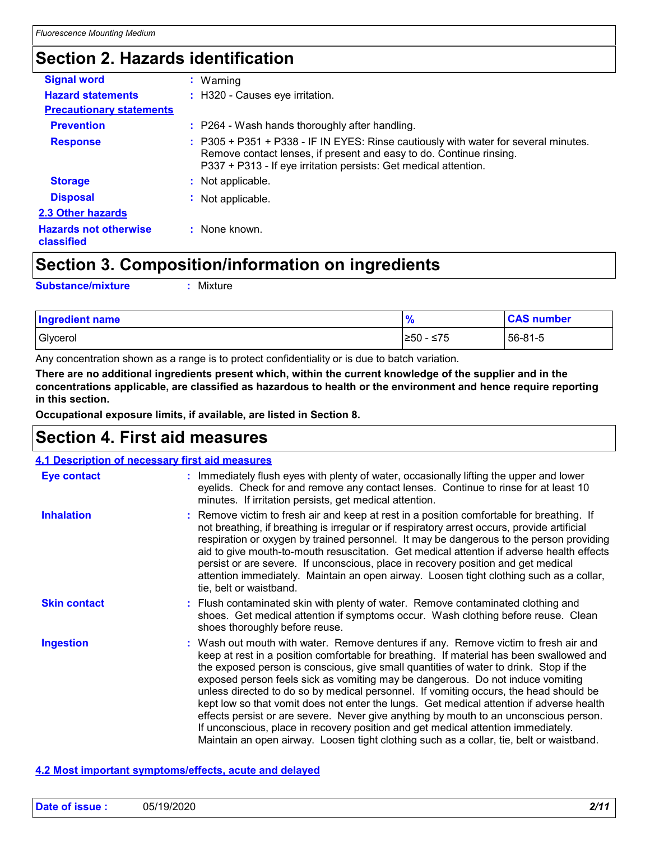### **Section 2. Hazards identification**

| <b>Signal word</b>                         | : Warning                                                                                                                                                                                                                      |  |
|--------------------------------------------|--------------------------------------------------------------------------------------------------------------------------------------------------------------------------------------------------------------------------------|--|
| <b>Hazard statements</b>                   | : H320 - Causes eye irritation.                                                                                                                                                                                                |  |
| <b>Precautionary statements</b>            |                                                                                                                                                                                                                                |  |
| <b>Prevention</b>                          | : P264 - Wash hands thoroughly after handling.                                                                                                                                                                                 |  |
| <b>Response</b>                            | : P305 + P351 + P338 - IF IN EYES: Rinse cautiously with water for several minutes.<br>Remove contact lenses, if present and easy to do. Continue rinsing.<br>P337 + P313 - If eye irritation persists: Get medical attention. |  |
| <b>Storage</b>                             | : Not applicable.                                                                                                                                                                                                              |  |
| <b>Disposal</b>                            | Not applicable.                                                                                                                                                                                                                |  |
| 2.3 Other hazards                          |                                                                                                                                                                                                                                |  |
| <b>Hazards not otherwise</b><br>classified | : None known.                                                                                                                                                                                                                  |  |
|                                            |                                                                                                                                                                                                                                |  |

### **Section 3. Composition/information on ingredients**

**Substance/mixture :**

: Mixture

| <b>Ingredient name</b> | $\bullet$<br>70 | <b>CAS number</b> |
|------------------------|-----------------|-------------------|
| Glycerol               | ≥50 - ≤75       | 56-81-5           |

Any concentration shown as a range is to protect confidentiality or is due to batch variation.

**There are no additional ingredients present which, within the current knowledge of the supplier and in the concentrations applicable, are classified as hazardous to health or the environment and hence require reporting in this section.**

**Occupational exposure limits, if available, are listed in Section 8.**

### **Section 4. First aid measures**

| 4.1 Description of necessary first aid measures |                                                                                                                                                                                                                                                                                                                                                                                                                                                                                                                                                                                                                                                                                                                                                                                                                           |
|-------------------------------------------------|---------------------------------------------------------------------------------------------------------------------------------------------------------------------------------------------------------------------------------------------------------------------------------------------------------------------------------------------------------------------------------------------------------------------------------------------------------------------------------------------------------------------------------------------------------------------------------------------------------------------------------------------------------------------------------------------------------------------------------------------------------------------------------------------------------------------------|
| <b>Eye contact</b>                              | : Immediately flush eyes with plenty of water, occasionally lifting the upper and lower<br>eyelids. Check for and remove any contact lenses. Continue to rinse for at least 10<br>minutes. If irritation persists, get medical attention.                                                                                                                                                                                                                                                                                                                                                                                                                                                                                                                                                                                 |
| <b>Inhalation</b>                               | : Remove victim to fresh air and keep at rest in a position comfortable for breathing. If<br>not breathing, if breathing is irregular or if respiratory arrest occurs, provide artificial<br>respiration or oxygen by trained personnel. It may be dangerous to the person providing<br>aid to give mouth-to-mouth resuscitation. Get medical attention if adverse health effects<br>persist or are severe. If unconscious, place in recovery position and get medical<br>attention immediately. Maintain an open airway. Loosen tight clothing such as a collar,<br>tie, belt or waistband.                                                                                                                                                                                                                              |
| <b>Skin contact</b>                             | : Flush contaminated skin with plenty of water. Remove contaminated clothing and<br>shoes. Get medical attention if symptoms occur. Wash clothing before reuse. Clean<br>shoes thoroughly before reuse.                                                                                                                                                                                                                                                                                                                                                                                                                                                                                                                                                                                                                   |
| <b>Ingestion</b>                                | : Wash out mouth with water. Remove dentures if any. Remove victim to fresh air and<br>keep at rest in a position comfortable for breathing. If material has been swallowed and<br>the exposed person is conscious, give small quantities of water to drink. Stop if the<br>exposed person feels sick as vomiting may be dangerous. Do not induce vomiting<br>unless directed to do so by medical personnel. If vomiting occurs, the head should be<br>kept low so that vomit does not enter the lungs. Get medical attention if adverse health<br>effects persist or are severe. Never give anything by mouth to an unconscious person.<br>If unconscious, place in recovery position and get medical attention immediately.<br>Maintain an open airway. Loosen tight clothing such as a collar, tie, belt or waistband. |

#### **4.2 Most important symptoms/effects, acute and delayed**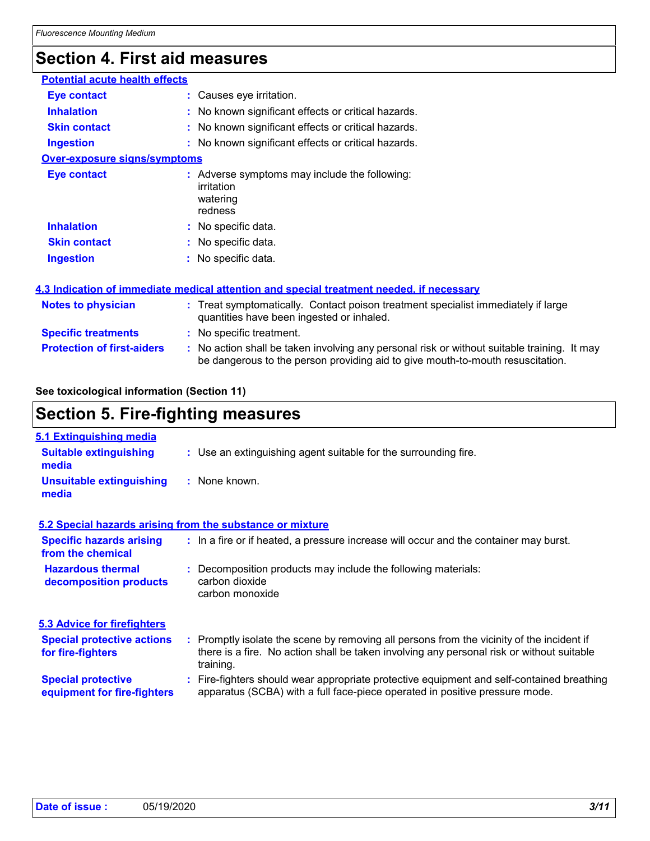## **Section 4. First aid measures**

| <b>Potential acute health effects</b> |  |                                                                                                                                                                               |  |  |
|---------------------------------------|--|-------------------------------------------------------------------------------------------------------------------------------------------------------------------------------|--|--|
| <b>Eye contact</b>                    |  | : Causes eye irritation.                                                                                                                                                      |  |  |
| <b>Inhalation</b>                     |  | : No known significant effects or critical hazards.                                                                                                                           |  |  |
| <b>Skin contact</b>                   |  | : No known significant effects or critical hazards.                                                                                                                           |  |  |
| <b>Ingestion</b>                      |  | : No known significant effects or critical hazards.                                                                                                                           |  |  |
| <b>Over-exposure signs/symptoms</b>   |  |                                                                                                                                                                               |  |  |
| <b>Eye contact</b>                    |  | : Adverse symptoms may include the following:<br>irritation<br>watering<br>redness                                                                                            |  |  |
| <b>Inhalation</b>                     |  | : No specific data.                                                                                                                                                           |  |  |
| <b>Skin contact</b>                   |  | : No specific data.                                                                                                                                                           |  |  |
| <b>Ingestion</b>                      |  | : No specific data.                                                                                                                                                           |  |  |
|                                       |  | 4.3 Indication of immediate medical attention and special treatment needed, if necessary                                                                                      |  |  |
| <b>Notes to physician</b>             |  | : Treat symptomatically. Contact poison treatment specialist immediately if large<br>quantities have been ingested or inhaled.                                                |  |  |
| <b>Specific treatments</b>            |  | : No specific treatment.                                                                                                                                                      |  |  |
| <b>Protection of first-aiders</b>     |  | : No action shall be taken involving any personal risk or without suitable training. It may<br>be dangerous to the person providing aid to give mouth-to-mouth resuscitation. |  |  |

### **See toxicological information (Section 11)**

### **Section 5. Fire-fighting measures**

| 5.1 Extinguishing media                                   |                                                                                                                                                                                                     |  |
|-----------------------------------------------------------|-----------------------------------------------------------------------------------------------------------------------------------------------------------------------------------------------------|--|
| <b>Suitable extinguishing</b><br>media                    | : Use an extinguishing agent suitable for the surrounding fire.                                                                                                                                     |  |
| <b>Unsuitable extinguishing</b><br>media                  | : None known.                                                                                                                                                                                       |  |
| 5.2 Special hazards arising from the substance or mixture |                                                                                                                                                                                                     |  |
| <b>Specific hazards arising</b><br>from the chemical      | : In a fire or if heated, a pressure increase will occur and the container may burst.                                                                                                               |  |
| <b>Hazardous thermal</b><br>decomposition products        | Decomposition products may include the following materials:<br>carbon dioxide<br>carbon monoxide                                                                                                    |  |
| <b>5.3 Advice for firefighters</b>                        |                                                                                                                                                                                                     |  |
| <b>Special protective actions</b><br>for fire-fighters    | : Promptly isolate the scene by removing all persons from the vicinity of the incident if<br>there is a fire. No action shall be taken involving any personal risk or without suitable<br>training. |  |
| <b>Special protective</b><br>equipment for fire-fighters  | : Fire-fighters should wear appropriate protective equipment and self-contained breathing<br>apparatus (SCBA) with a full face-piece operated in positive pressure mode.                            |  |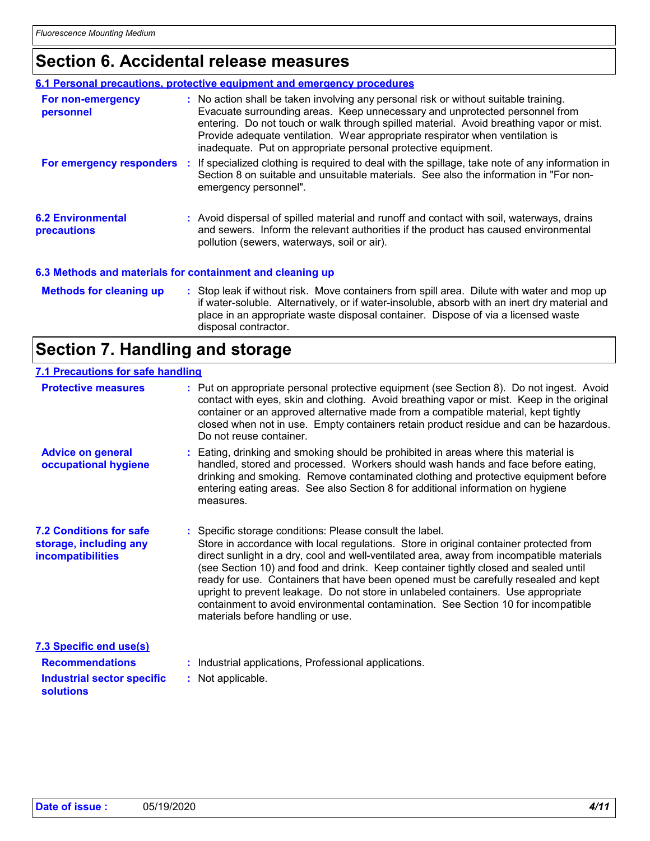### **Section 6. Accidental release measures**

|                                         | 6.1 Personal precautions, protective equipment and emergency procedures                                                                                                                                                                                                                                                                                                                                          |
|-----------------------------------------|------------------------------------------------------------------------------------------------------------------------------------------------------------------------------------------------------------------------------------------------------------------------------------------------------------------------------------------------------------------------------------------------------------------|
| For non-emergency<br>personnel          | : No action shall be taken involving any personal risk or without suitable training.<br>Evacuate surrounding areas. Keep unnecessary and unprotected personnel from<br>entering. Do not touch or walk through spilled material. Avoid breathing vapor or mist.<br>Provide adequate ventilation. Wear appropriate respirator when ventilation is<br>inadequate. Put on appropriate personal protective equipment. |
| For emergency responders                | If specialized clothing is required to deal with the spillage, take note of any information in<br>Section 8 on suitable and unsuitable materials. See also the information in "For non-<br>emergency personnel".                                                                                                                                                                                                 |
| <b>6.2 Environmental</b><br>precautions | : Avoid dispersal of spilled material and runoff and contact with soil, waterways, drains<br>and sewers. Inform the relevant authorities if the product has caused environmental<br>pollution (sewers, waterways, soil or air).                                                                                                                                                                                  |
|                                         | 6.3 Methods and materials for containment and cleaning up                                                                                                                                                                                                                                                                                                                                                        |
| <b>Methods for cleaning up</b>          | : Stop leak if without risk. Move containers from spill area. Dilute with water and mop up<br>if water-soluble. Alternatively, or if water-insoluble, absorb with an inert dry material and<br>place in an appropriate waste disposal container. Dispose of via a licensed waste<br>disposal contractor.                                                                                                         |

### **Section 7. Handling and storage**

### **7.1 Precautions for safe handling**

| <b>Protective measures</b>                                                                                        | : Put on appropriate personal protective equipment (see Section 8). Do not ingest. Avoid<br>contact with eyes, skin and clothing. Avoid breathing vapor or mist. Keep in the original<br>container or an approved alternative made from a compatible material, kept tightly<br>closed when not in use. Empty containers retain product residue and can be hazardous.<br>Do not reuse container.                                                                                                                                                                                                                                              |  |
|-------------------------------------------------------------------------------------------------------------------|----------------------------------------------------------------------------------------------------------------------------------------------------------------------------------------------------------------------------------------------------------------------------------------------------------------------------------------------------------------------------------------------------------------------------------------------------------------------------------------------------------------------------------------------------------------------------------------------------------------------------------------------|--|
| <b>Advice on general</b><br>occupational hygiene                                                                  | Eating, drinking and smoking should be prohibited in areas where this material is<br>handled, stored and processed. Workers should wash hands and face before eating,<br>drinking and smoking. Remove contaminated clothing and protective equipment before<br>entering eating areas. See also Section 8 for additional information on hygiene<br>measures.                                                                                                                                                                                                                                                                                  |  |
| <b>7.2 Conditions for safe</b><br>storage, including any<br><b>incompatibilities</b>                              | : Specific storage conditions: Please consult the label.<br>Store in accordance with local regulations. Store in original container protected from<br>direct sunlight in a dry, cool and well-ventilated area, away from incompatible materials<br>(see Section 10) and food and drink. Keep container tightly closed and sealed until<br>ready for use. Containers that have been opened must be carefully resealed and kept<br>upright to prevent leakage. Do not store in unlabeled containers. Use appropriate<br>containment to avoid environmental contamination. See Section 10 for incompatible<br>materials before handling or use. |  |
| <b>7.3 Specific end use(s)</b><br><b>Recommendations</b><br><b>Industrial sector specific</b><br><b>solutions</b> | : Industrial applications, Professional applications.<br>: Not applicable.                                                                                                                                                                                                                                                                                                                                                                                                                                                                                                                                                                   |  |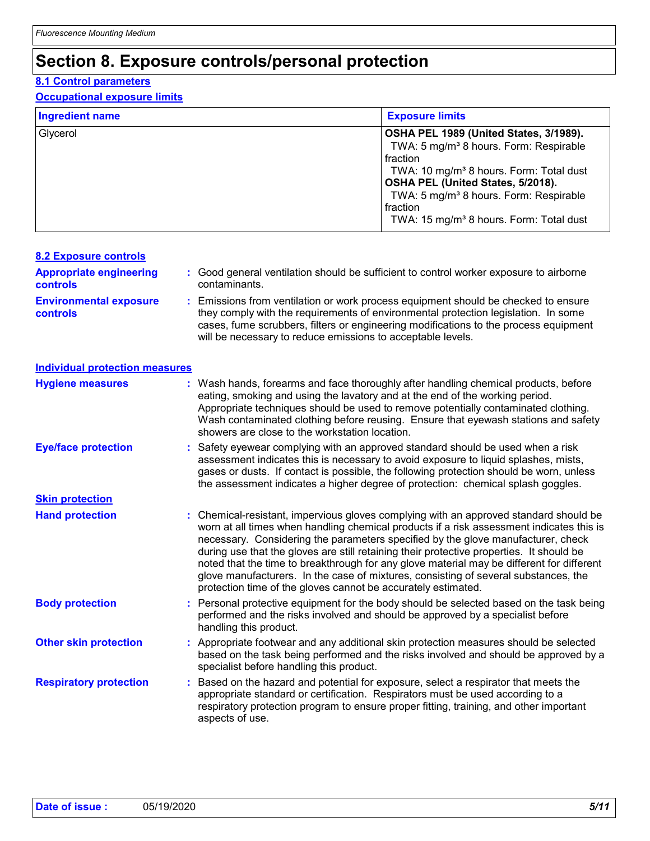### **Section 8. Exposure controls/personal protection**

#### **8.1 Control parameters**

#### **Occupational exposure limits**

| <b>Ingredient name</b> | <b>Exposure limits</b>                                                                                                                                                                                                                                                                                                        |
|------------------------|-------------------------------------------------------------------------------------------------------------------------------------------------------------------------------------------------------------------------------------------------------------------------------------------------------------------------------|
| Glycerol               | OSHA PEL 1989 (United States, 3/1989).<br>TWA: 5 mg/m <sup>3</sup> 8 hours. Form: Respirable<br>fraction<br>TWA: 10 mg/m <sup>3</sup> 8 hours. Form: Total dust<br>OSHA PEL (United States, 5/2018).<br>TWA: 5 mg/m <sup>3</sup> 8 hours. Form: Respirable<br>fraction<br>TWA: 15 mg/m <sup>3</sup> 8 hours. Form: Total dust |

| <b>8.2 Exposure controls</b>                     |                                                                                                                                                                                                                                                                                                                                                                                                                                                                                                                                                                                                                        |  |
|--------------------------------------------------|------------------------------------------------------------------------------------------------------------------------------------------------------------------------------------------------------------------------------------------------------------------------------------------------------------------------------------------------------------------------------------------------------------------------------------------------------------------------------------------------------------------------------------------------------------------------------------------------------------------------|--|
| <b>Appropriate engineering</b><br>controls       | : Good general ventilation should be sufficient to control worker exposure to airborne<br>contaminants.                                                                                                                                                                                                                                                                                                                                                                                                                                                                                                                |  |
| <b>Environmental exposure</b><br><b>controls</b> | Emissions from ventilation or work process equipment should be checked to ensure<br>they comply with the requirements of environmental protection legislation. In some<br>cases, fume scrubbers, filters or engineering modifications to the process equipment<br>will be necessary to reduce emissions to acceptable levels.                                                                                                                                                                                                                                                                                          |  |
| <b>Individual protection measures</b>            |                                                                                                                                                                                                                                                                                                                                                                                                                                                                                                                                                                                                                        |  |
| <b>Hygiene measures</b>                          | : Wash hands, forearms and face thoroughly after handling chemical products, before<br>eating, smoking and using the lavatory and at the end of the working period.<br>Appropriate techniques should be used to remove potentially contaminated clothing.<br>Wash contaminated clothing before reusing. Ensure that eyewash stations and safety<br>showers are close to the workstation location.                                                                                                                                                                                                                      |  |
| <b>Eye/face protection</b>                       | Safety eyewear complying with an approved standard should be used when a risk<br>assessment indicates this is necessary to avoid exposure to liquid splashes, mists,<br>gases or dusts. If contact is possible, the following protection should be worn, unless<br>the assessment indicates a higher degree of protection: chemical splash goggles.                                                                                                                                                                                                                                                                    |  |
| <b>Skin protection</b>                           |                                                                                                                                                                                                                                                                                                                                                                                                                                                                                                                                                                                                                        |  |
| <b>Hand protection</b>                           | : Chemical-resistant, impervious gloves complying with an approved standard should be<br>worn at all times when handling chemical products if a risk assessment indicates this is<br>necessary. Considering the parameters specified by the glove manufacturer, check<br>during use that the gloves are still retaining their protective properties. It should be<br>noted that the time to breakthrough for any glove material may be different for different<br>glove manufacturers. In the case of mixtures, consisting of several substances, the<br>protection time of the gloves cannot be accurately estimated. |  |
| <b>Body protection</b>                           | Personal protective equipment for the body should be selected based on the task being<br>performed and the risks involved and should be approved by a specialist before<br>handling this product.                                                                                                                                                                                                                                                                                                                                                                                                                      |  |
| <b>Other skin protection</b>                     | Appropriate footwear and any additional skin protection measures should be selected<br>based on the task being performed and the risks involved and should be approved by a<br>specialist before handling this product.                                                                                                                                                                                                                                                                                                                                                                                                |  |
| <b>Respiratory protection</b>                    | Based on the hazard and potential for exposure, select a respirator that meets the<br>÷<br>appropriate standard or certification. Respirators must be used according to a<br>respiratory protection program to ensure proper fitting, training, and other important<br>aspects of use.                                                                                                                                                                                                                                                                                                                                 |  |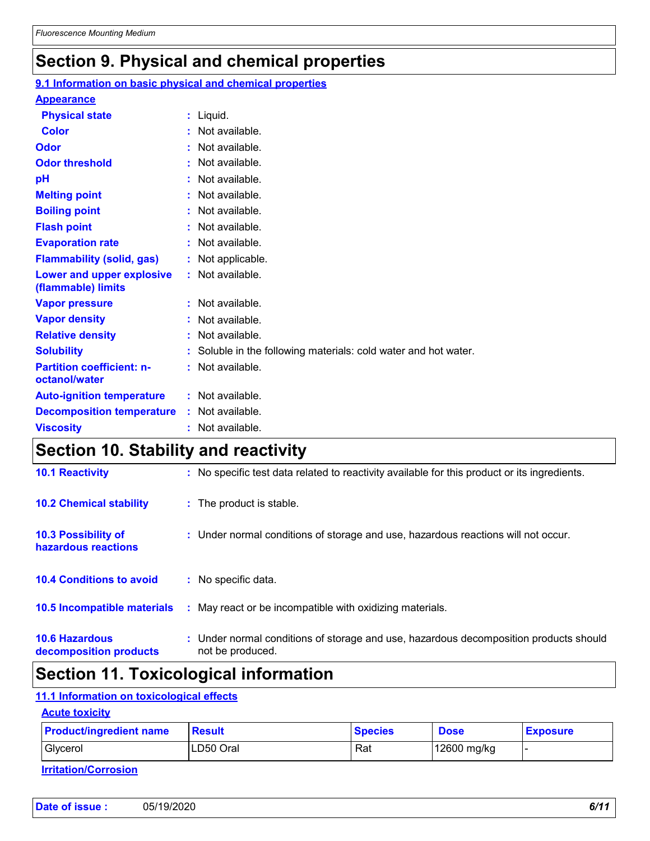### **Section 9. Physical and chemical properties**

#### **Physical state Melting point Vapor pressure Relative density Vapor density Solubility :** Liquid. **:** Not available. **:** Not available. **:** Not available. **:** Not available. Soluble in the following materials: cold water and hot water. **: Odor** : Not available. **pH Color :** Not available. **Evaporation rate Auto-ignition temperature Flash point :** Not available. **:** Not available. **:** Not available. **:** Not available. **Viscosity Constitution Constitution Constitution Constitution Constitution Constitution Constitution Constitution Constitution Constitution Constitution Constitution Constitution Constitution Constitution Constitution C Odor threshold Partition coefficient: noctanol/water** : Not available. : Not available. **Appearance Boiling point :** Not available. **Flammability (solid, gas) :** Not applicable. **Lower and upper explosive (flammable) limits :** Not available. **Decomposition temperature :** Not available. **9.1 Information on basic physical and chemical properties**

### **Section 10. Stability and reactivity**

| <b>10.6 Hazardous</b><br>decomposition products | Under normal conditions of storage and use, hazardous decomposition products should<br>t.<br>not be produced. |
|-------------------------------------------------|---------------------------------------------------------------------------------------------------------------|
| 10.5 Incompatible materials                     | : May react or be incompatible with oxidizing materials.                                                      |
| <b>10.4 Conditions to avoid</b>                 | : No specific data.                                                                                           |
| 10.3 Possibility of<br>hazardous reactions      | : Under normal conditions of storage and use, hazardous reactions will not occur.                             |
| <b>10.2 Chemical stability</b>                  | : The product is stable.                                                                                      |
| <b>10.1 Reactivity</b>                          | : No specific test data related to reactivity available for this product or its ingredients.                  |

### **Section 11. Toxicological information**

#### **11.1 Information on toxicological effects**

#### **Acute toxicity**

| <b>Product/ingredient name</b> | Result    | <b>Species</b> | <b>Dose</b> | <b>Exposure</b> |
|--------------------------------|-----------|----------------|-------------|-----------------|
| Glycerol                       | LD50 Oral | Rat            | 12600 mg/kg |                 |

| Date of issue : | 05/19/2020 | 6/11 |
|-----------------|------------|------|
|-----------------|------------|------|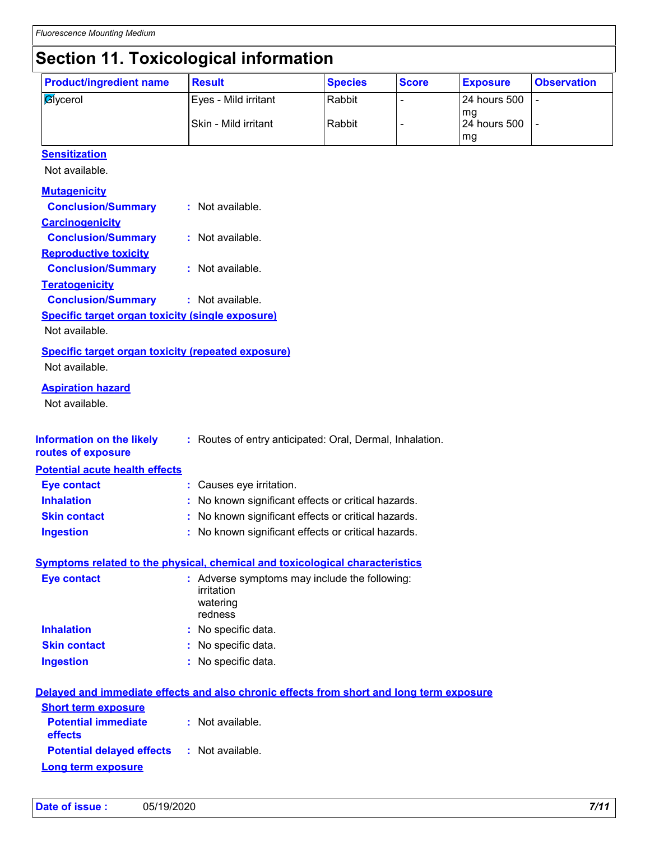### **Section 11. Toxicological information**

| <b>Product/ingredient name</b>                                                                                                                                                         | <b>Result</b>                                               | <b>Species</b> | <b>Score</b> | <b>Exposure</b>    | <b>Observation</b> |
|----------------------------------------------------------------------------------------------------------------------------------------------------------------------------------------|-------------------------------------------------------------|----------------|--------------|--------------------|--------------------|
| <b>Aycerol</b>                                                                                                                                                                         | Eyes - Mild irritant                                        | Rabbit         |              | 24 hours 500       |                    |
|                                                                                                                                                                                        | Skin - Mild irritant                                        | Rabbit         |              | mg<br>24 hours 500 |                    |
|                                                                                                                                                                                        |                                                             |                |              | mg                 |                    |
| <b>Sensitization</b>                                                                                                                                                                   |                                                             |                |              |                    |                    |
| Not available.                                                                                                                                                                         |                                                             |                |              |                    |                    |
| <b>Mutagenicity</b>                                                                                                                                                                    |                                                             |                |              |                    |                    |
| <b>Conclusion/Summary</b>                                                                                                                                                              | : Not available.                                            |                |              |                    |                    |
| <b>Carcinogenicity</b>                                                                                                                                                                 |                                                             |                |              |                    |                    |
| <b>Conclusion/Summary</b>                                                                                                                                                              | : Not available.                                            |                |              |                    |                    |
| <b>Reproductive toxicity</b>                                                                                                                                                           |                                                             |                |              |                    |                    |
| <b>Conclusion/Summary</b>                                                                                                                                                              | : Not available.                                            |                |              |                    |                    |
| <b>Teratogenicity</b>                                                                                                                                                                  |                                                             |                |              |                    |                    |
| <b>Conclusion/Summary</b>                                                                                                                                                              | : Not available.                                            |                |              |                    |                    |
| Specific target organ toxicity (single exposure)                                                                                                                                       |                                                             |                |              |                    |                    |
| Not available.                                                                                                                                                                         |                                                             |                |              |                    |                    |
| <b>Specific target organ toxicity (repeated exposure)</b>                                                                                                                              |                                                             |                |              |                    |                    |
| Not available.                                                                                                                                                                         |                                                             |                |              |                    |                    |
| <b>Aspiration hazard</b>                                                                                                                                                               |                                                             |                |              |                    |                    |
| Not available.                                                                                                                                                                         |                                                             |                |              |                    |                    |
|                                                                                                                                                                                        |                                                             |                |              |                    |                    |
| <b>Information on the likely</b>                                                                                                                                                       | : Routes of entry anticipated: Oral, Dermal, Inhalation.    |                |              |                    |                    |
|                                                                                                                                                                                        |                                                             |                |              |                    |                    |
|                                                                                                                                                                                        |                                                             |                |              |                    |                    |
| routes of exposure<br><b>Potential acute health effects</b>                                                                                                                            |                                                             |                |              |                    |                    |
| <b>Eye contact</b>                                                                                                                                                                     | : Causes eye irritation.                                    |                |              |                    |                    |
| <b>Inhalation</b>                                                                                                                                                                      | No known significant effects or critical hazards.           |                |              |                    |                    |
| <b>Skin contact</b>                                                                                                                                                                    | : No known significant effects or critical hazards.         |                |              |                    |                    |
| <b>Ingestion</b>                                                                                                                                                                       | : No known significant effects or critical hazards.         |                |              |                    |                    |
|                                                                                                                                                                                        |                                                             |                |              |                    |                    |
| <b>Symptoms related to the physical, chemical and toxicological characteristics</b>                                                                                                    |                                                             |                |              |                    |                    |
| <b>Eye contact</b>                                                                                                                                                                     | : Adverse symptoms may include the following:<br>irritation |                |              |                    |                    |
|                                                                                                                                                                                        | watering                                                    |                |              |                    |                    |
|                                                                                                                                                                                        | redness                                                     |                |              |                    |                    |
|                                                                                                                                                                                        | : No specific data.                                         |                |              |                    |                    |
|                                                                                                                                                                                        | : No specific data.                                         |                |              |                    |                    |
|                                                                                                                                                                                        | : No specific data.                                         |                |              |                    |                    |
|                                                                                                                                                                                        |                                                             |                |              |                    |                    |
| <b>Inhalation</b><br><b>Skin contact</b><br><b>Ingestion</b><br>Delayed and immediate effects and also chronic effects from short and long term exposure<br><b>Short term exposure</b> |                                                             |                |              |                    |                    |
| <b>Potential immediate</b>                                                                                                                                                             | : Not available.                                            |                |              |                    |                    |
| effects                                                                                                                                                                                |                                                             |                |              |                    |                    |
| <b>Potential delayed effects</b>                                                                                                                                                       | : Not available.                                            |                |              |                    |                    |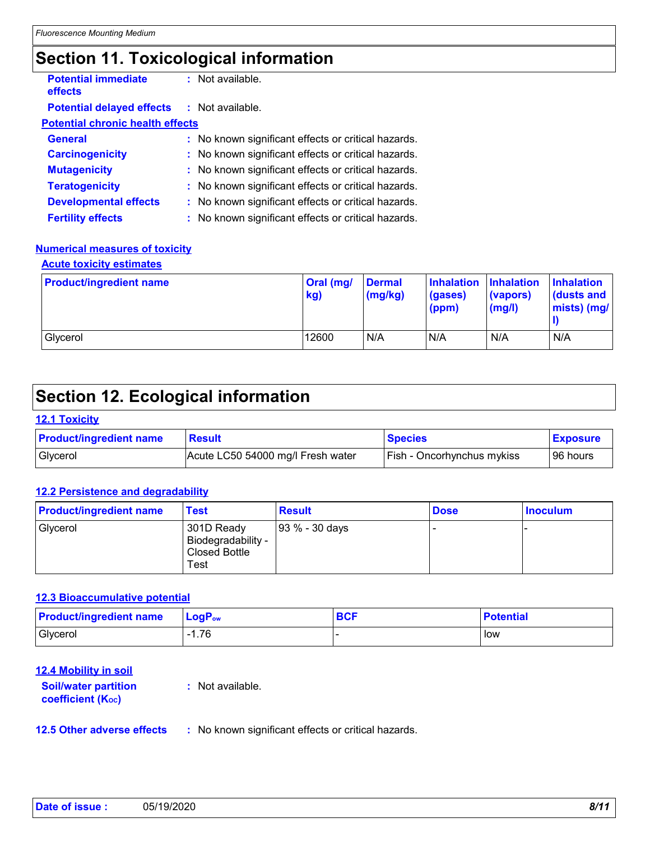### **Section 11. Toxicological information**

| <b>Potential immediate</b><br>effects             | $:$ Not available.                                  |
|---------------------------------------------------|-----------------------------------------------------|
| <b>Potential delayed effects : Not available.</b> |                                                     |
| <b>Potential chronic health effects</b>           |                                                     |
| <b>General</b>                                    | : No known significant effects or critical hazards. |
| <b>Carcinogenicity</b>                            | : No known significant effects or critical hazards. |
| <b>Mutagenicity</b>                               | : No known significant effects or critical hazards. |
| <b>Teratogenicity</b>                             | : No known significant effects or critical hazards. |
| <b>Developmental effects</b>                      | : No known significant effects or critical hazards. |
| <b>Fertility effects</b>                          | : No known significant effects or critical hazards. |

#### **Numerical measures of toxicity**

**Acute toxicity estimates**

| <b>Product/ingredient name</b> | Oral (mg/<br>kg) | <b>Dermal</b><br>(mg/kg) | Inhalation Inhalation<br>(gases)<br>(ppm) | (vapors)<br>$\mathsf{mgl}()$ | <b>Inhalation</b><br>dusts and<br>mists) (mg/ |
|--------------------------------|------------------|--------------------------|-------------------------------------------|------------------------------|-----------------------------------------------|
| Glycerol                       | 12600            | N/A                      | N/A                                       | N/A                          | N/A                                           |

### **Section 12. Ecological information**

#### **12.1 Toxicity**

| <b>Product/ingredient name</b> | <b>Result</b>                     | <b>Species</b>                    | <b>Exposure</b> |
|--------------------------------|-----------------------------------|-----------------------------------|-----------------|
| I Givcerol                     | Acute LC50 54000 mg/l Fresh water | <b>Fish - Oncorhynchus mykiss</b> | 96 hours        |

#### **12.2 Persistence and degradability**

| <b>Product/ingredient name</b> | <b>Test</b>                                               | <b>Result</b>  | <b>Dose</b> | <b>Inoculum</b> |
|--------------------------------|-----------------------------------------------------------|----------------|-------------|-----------------|
| Glycerol                       | 301D Ready<br>Biodegradability -<br>Closed Bottle<br>Test | 93 % - 30 days |             |                 |

#### **12.3 Bioaccumulative potential**

| <b>Product/ingredient name</b> | $\mathsf{LogP}_\mathsf{ow}$ | <b>BCF</b> | <b>Potential</b> |
|--------------------------------|-----------------------------|------------|------------------|
| Glycerol                       | . 76                        |            | low              |

#### **12.4 Mobility in soil**

| <b>Soil/water partition</b> | : Not available. |
|-----------------------------|------------------|
| <b>coefficient (Koc)</b>    |                  |

**12.5 Other adverse effects :** No known significant effects or critical hazards.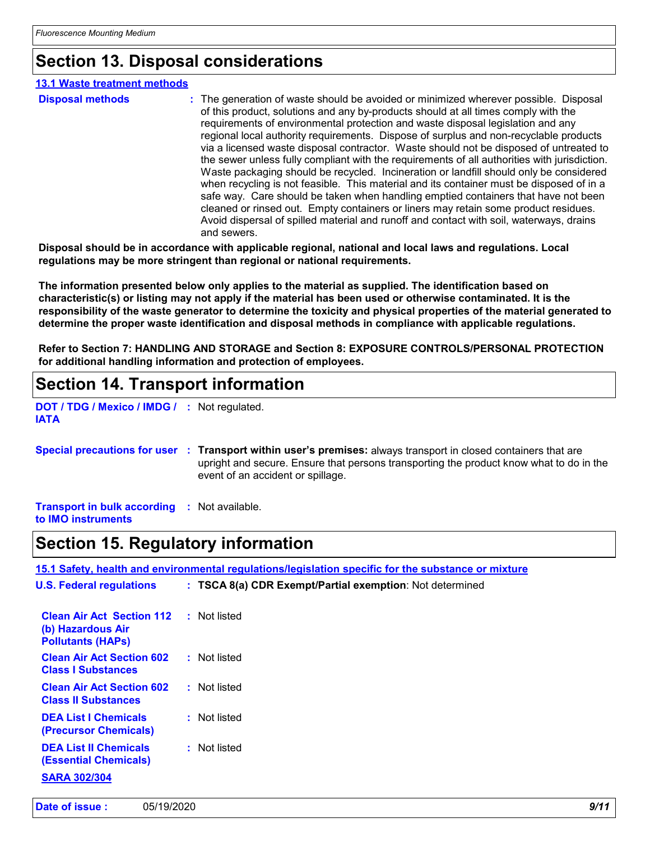### **Section 13. Disposal considerations**

| <b>13.1 Waste treatment methods</b> |                                                                                                                                                                                                                                                                                                                                                                                                                                                                                                                                                                                                                                                                                                                                                                                                                                                                                                                                                                                                                               |
|-------------------------------------|-------------------------------------------------------------------------------------------------------------------------------------------------------------------------------------------------------------------------------------------------------------------------------------------------------------------------------------------------------------------------------------------------------------------------------------------------------------------------------------------------------------------------------------------------------------------------------------------------------------------------------------------------------------------------------------------------------------------------------------------------------------------------------------------------------------------------------------------------------------------------------------------------------------------------------------------------------------------------------------------------------------------------------|
| <b>Disposal methods</b>             | : The generation of waste should be avoided or minimized wherever possible. Disposal<br>of this product, solutions and any by-products should at all times comply with the<br>requirements of environmental protection and waste disposal legislation and any<br>regional local authority requirements. Dispose of surplus and non-recyclable products<br>via a licensed waste disposal contractor. Waste should not be disposed of untreated to<br>the sewer unless fully compliant with the requirements of all authorities with jurisdiction.<br>Waste packaging should be recycled. Incineration or landfill should only be considered<br>when recycling is not feasible. This material and its container must be disposed of in a<br>safe way. Care should be taken when handling emptied containers that have not been<br>cleaned or rinsed out. Empty containers or liners may retain some product residues.<br>Avoid dispersal of spilled material and runoff and contact with soil, waterways, drains<br>and sewers. |

**Disposal should be in accordance with applicable regional, national and local laws and regulations. Local regulations may be more stringent than regional or national requirements.**

**The information presented below only applies to the material as supplied. The identification based on characteristic(s) or listing may not apply if the material has been used or otherwise contaminated. It is the responsibility of the waste generator to determine the toxicity and physical properties of the material generated to determine the proper waste identification and disposal methods in compliance with applicable regulations.**

**Refer to Section 7: HANDLING AND STORAGE and Section 8: EXPOSURE CONTROLS/PERSONAL PROTECTION for additional handling information and protection of employees.**

### **Section 14. Transport information**

**DOT / TDG / Mexico / IMDG / :** Not regulated. **IATA**

|  | Special precautions for user : Transport within user's premises: always transport in closed containers that are |
|--|-----------------------------------------------------------------------------------------------------------------|
|  | upright and secure. Ensure that persons transporting the product know what to do in the                         |
|  | event of an accident or spillage.                                                                               |

**Transport in bulk according :** Not available. **to IMO instruments**

### **Section 15. Regulatory information**

**15.1 Safety, health and environmental regulations/legislation specific for the substance or mixture**

| <b>U.S. Federal regulations</b>                                                   | : TSCA 8(a) CDR Exempt/Partial exemption: Not determined |
|-----------------------------------------------------------------------------------|----------------------------------------------------------|
| <b>Clean Air Act Section 112</b><br>(b) Hazardous Air<br><b>Pollutants (HAPS)</b> | : Not listed                                             |
| <b>Clean Air Act Section 602</b><br><b>Class I Substances</b>                     | : Not listed                                             |
| <b>Clean Air Act Section 602</b><br><b>Class II Substances</b>                    | : Not listed                                             |
| <b>DEA List I Chemicals</b><br>(Precursor Chemicals)                              | : Not listed                                             |
| <b>DEA List II Chemicals</b><br><b>(Essential Chemicals)</b>                      | : Not listed                                             |
| <b>SARA 302/304</b>                                                               |                                                          |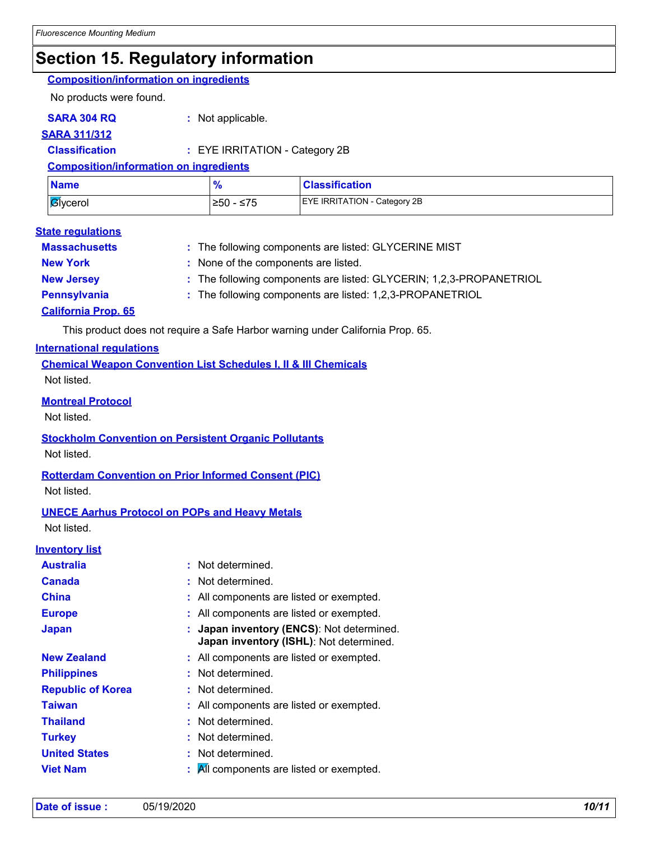### **Section 15. Regulatory information**

### **Composition/information on ingredients**

No products were found.

**SARA 304 RQ :** Not applicable.

**SARA 311/312**

**Classification :** EYE IRRITATION - Category 2B

**Composition/information on ingredients**

| <b>Name</b>      | $\bullet$  | <b>Classification</b>               |
|------------------|------------|-------------------------------------|
| <b>B</b> lycerol | 1≥50 - ≤75 | <b>EYE IRRITATION - Category 2B</b> |

#### **State regulations**

| <b>Massachusetts</b>       | : The following components are listed: GLYCERINE MIST               |
|----------------------------|---------------------------------------------------------------------|
| <b>New York</b>            | : None of the components are listed.                                |
| <b>New Jersey</b>          | : The following components are listed: GLYCERIN; 1,2,3-PROPANETRIOL |
| <b>Pennsylvania</b>        | : The following components are listed: 1,2,3-PROPANETRIOL           |
| <b>California Prop. 65</b> |                                                                     |

This product does not require a Safe Harbor warning under California Prop. 65.

#### **International regulations**

**Chemical Weapon Convention List Schedules I, II & III Chemicals** Not listed.

#### **Montreal Protocol**

Not listed.

#### **Stockholm Convention on Persistent Organic Pollutants** Not listed.

**Rotterdam Convention on Prior Informed Consent (PIC)** Not listed.

#### **UNECE Aarhus Protocol on POPs and Heavy Metals** Not listed.

**Inventory list**

| Australia                | : Not determined.                                                                  |
|--------------------------|------------------------------------------------------------------------------------|
| Canada                   | : Not determined.                                                                  |
| China                    | : All components are listed or exempted.                                           |
| <b>Europe</b>            | : All components are listed or exempted.                                           |
| Japan                    | Japan inventory (ENCS): Not determined.<br>Japan inventory (ISHL): Not determined. |
| <b>New Zealand</b>       | : All components are listed or exempted.                                           |
| <b>Philippines</b>       | : Not determined.                                                                  |
| <b>Republic of Korea</b> | : Not determined.                                                                  |
| Taiwan                   | : All components are listed or exempted.                                           |
| <b>Thailand</b>          | : Not determined.                                                                  |
| Turkey                   | : Not determined.                                                                  |
| <b>United States</b>     | : Not determined.                                                                  |
| Viet Nam                 | All components are listed or exempted.                                             |
|                          |                                                                                    |